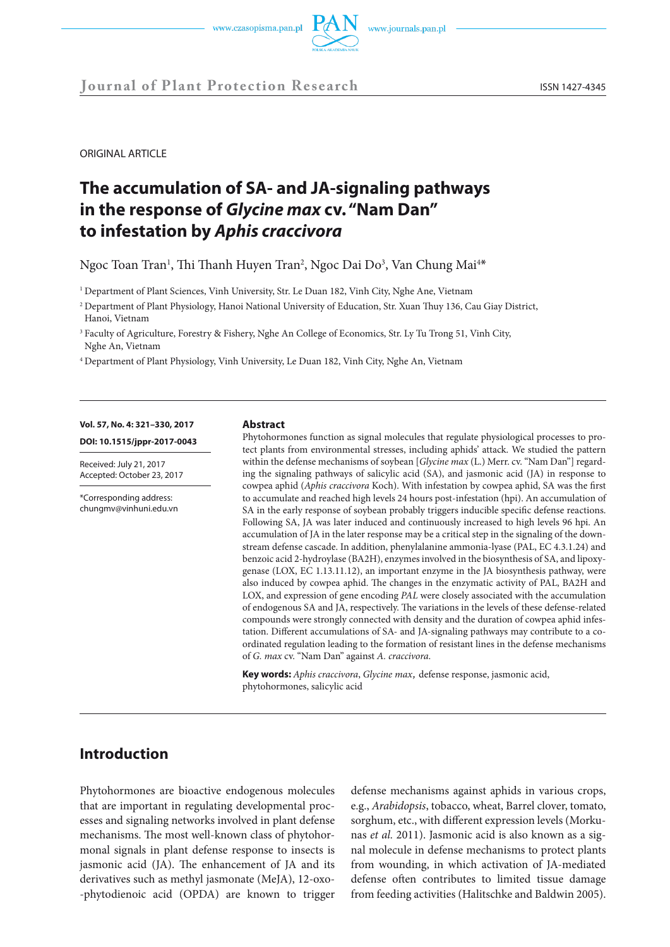



**Journal of Plant Protection Research** ISSN 1427-4345

ORIGINAL ARTICLE

# **The accumulation of SA- and JA-signaling pathways in the response of** *Glycine max* **cv. "Nam Dan" to infestation by** *Aphis craccivora*

Ngoc Toan Tran<sup>1</sup>, Thi Thanh Huyen Tran<sup>2</sup>, Ngoc Dai Do<sup>3</sup>, Van Chung Mai<sup>4\*</sup>

<sup>1</sup> Department of Plant Sciences, Vinh University, Str. Le Duan 182, Vinh City, Nghe Ane, Vietnam

<sup>2</sup> Department of Plant Physiology, Hanoi National University of Education, Str. Xuan Thuy 136, Cau Giay District, Hanoi, Vietnam

<sup>3</sup> Faculty of Agriculture, Forestry & Fishery, Nghe An College of Economics, Str. Ly Tu Trong 51, Vinh City, Nghe An, Vietnam

<sup>4</sup> Department of Plant Physiology, Vinh University, Le Duan 182, Vinh City, Nghe An, Vietnam

# **Vol. 57, No. 4: 321–330, 2017**

**DOI: 10.1515/jppr-2017-0043**

Received: July 21, 2017 Accepted: October 23, 2017

\*Corresponding address: chungmv@vinhuni.edu.vn

#### **Abstract**

Phytohormones function as signal molecules that regulate physiological processes to protect plants from environmental stresses, including aphids' attack. We studied the pattern within the defense mechanisms of soybean [*Glycine max* (L.) Merr. cv. "Nam Dan"] regarding the signaling pathways of salicylic acid (SA), and jasmonic acid (JA) in response to cowpea aphid (*Aphis craccivora* Koch). With infestation by cowpea aphid, SA was the first to accumulate and reached high levels 24 hours post-infestation (hpi). An accumulation of SA in the early response of soybean probably triggers inducible specific defense reactions. Following SA, JA was later induced and continuously increased to high levels 96 hpi. An accumulation of JA in the later response may be a critical step in the signaling of the downstream defense cascade. In addition, phenylalanine ammonia-lyase (PAL, EC 4.3.1.24) and benzoic acid 2-hydroylase (BA2H), enzymes involved in the biosynthesis of SA, and lipoxygenase (LOX, EC 1.13.11.12), an important enzyme in the JA biosynthesis pathway, were also induced by cowpea aphid. The changes in the enzymatic activity of PAL, BA2H and LOX, and expression of gene encoding *PAL* were closely associated with the accumulation of endogenous SA and JA, respectively. The variations in the levels of these defense-related compounds were strongly connected with density and the duration of cowpea aphid infestation. Different accumulations of SA- and JA-signaling pathways may contribute to a coordinated regulation leading to the formation of resistant lines in the defense mechanisms of *G. max* cv. "Nam Dan" against *A. craccivora*.

**Key words:** *Aphis craccivora*, *Glycine max,* defense response, jasmonic acid, phytohormones, salicylic acid

## **Introduction**

Phytohormones are bioactive endogenous molecules that are important in regulating developmental processes and signaling networks involved in plant defense mechanisms. The most well-known class of phytohormonal signals in plant defense response to insects is jasmonic acid (JA). The enhancement of JA and its derivatives such as methyl jasmonate (MeJA), 12-oxo- -phytodienoic acid (OPDA) are known to trigger

defense mechanisms against aphids in various crops, e.g., *Arabidopsis*, tobacco, wheat, Barrel clover, tomato, sorghum, etc., with different expression levels (Morkunas *et al.* 2011). Jasmonic acid is also known as a signal molecule in defense mechanisms to protect plants from wounding, in which activation of JA-mediated defense often contributes to limited tissue damage from feeding activities (Halitschke and Baldwin 2005).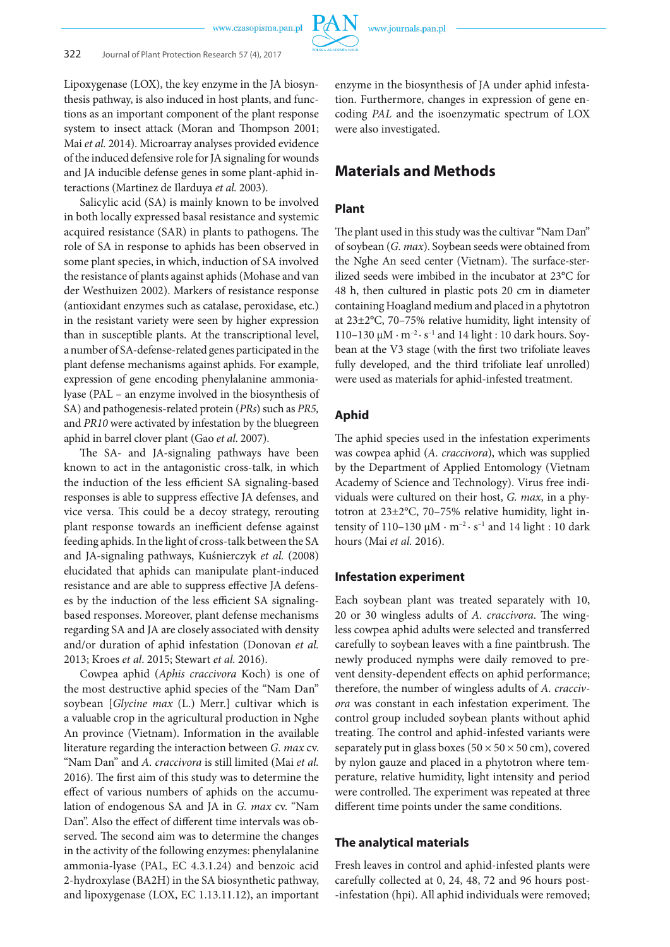

Lipoxygenase (LOX), the key enzyme in the JA biosynthesis pathway, is also induced in host plants, and functions as an important component of the plant response system to insect attack (Moran and Thompson 2001; Mai *et al.* 2014). Microarray analyses provided evidence of the induced defensive role for JA signaling for wounds and JA inducible defense genes in some plant-aphid interactions (Martinez de Ilarduya *et al.* 2003).

Salicylic acid (SA) is mainly known to be involved in both locally expressed basal resistance and systemic acquired resistance (SAR) in plants to pathogens. The role of SA in response to aphids has been observed in some plant species, in which, induction of SA involved the resistance of plants against aphids (Mohase and van der Westhuizen 2002). Markers of resistance response (antioxidant enzymes such as catalase, peroxidase, etc.) in the resistant variety were seen by higher expression than in susceptible plants. At the transcriptional level, a number of SA-defense-related genes participated in the plant defense mechanisms against aphids. For example, expression of gene encoding phenylalanine ammonialyase (PAL – an enzyme involved in the biosynthesis of SA) and pathogenesis-related protein (*PRs*) such as *PR5,* and *PR10* were activated by infestation by the bluegreen aphid in barrel clover plant (Gao *et al*. 2007).

The SA- and JA-signaling pathways have been known to act in the antagonistic cross-talk, in which the induction of the less efficient SA signaling-based responses is able to suppress effective JA defenses, and vice versa. This could be a decoy strategy, rerouting plant response towards an inefficient defense against feeding aphids. In the light of cross-talk between the SA and JA-signaling pathways, Kuśnierczyk *et al.* (2008) elucidated that aphids can manipulate plant-induced resistance and are able to suppress effective JA defenses by the induction of the less efficient SA signalingbased responses. Moreover, plant defense mechanisms regarding SA and JA are closely associated with density and/or duration of aphid infestation (Donovan *et al.* 2013; Kroes *et al*. 2015; Stewart *et al.* 2016).

Cowpea aphid (*Aphis craccivora* Koch) is one of the most destructive aphid species of the "Nam Dan" soybean [*Glycine max* (L.) Merr.] cultivar which is a valuable crop in the agricultural production in Nghe An province (Vietnam). Information in the available literature regarding the interaction between *G. max* cv. "Nam Dan" and *A. craccivora* is still limited (Mai *et al.* 2016). The first aim of this study was to determine the effect of various numbers of aphids on the accumulation of endogenous SA and JA in *G. max* cv. "Nam Dan". Also the effect of different time intervals was observed. The second aim was to determine the changes in the activity of the following enzymes: phenylalanine ammonia-lyase (PAL, EC 4.3.1.24) and benzoic acid 2-hydroxylase (BA2H) in the SA biosynthetic pathway, and lipoxygenase (LOX, EC 1.13.11.12), an important

enzyme in the biosynthesis of JA under aphid infestation. Furthermore, changes in expression of gene encoding *PAL* and the isoenzymatic spectrum of LOX were also investigated.

## **Materials and Methods**

#### **Plant**

The plant used in this study was the cultivar "Nam Dan" of soybean (*G. max*). Soybean seeds were obtained from the Nghe An seed center (Vietnam). The surface-sterilized seeds were imbibed in the incubator at 23°C for 48 h, then cultured in plastic pots 20 cm in diameter containing Hoagland medium and placed in a phytotron at 23±2°C, 70–75% relative humidity, light intensity of 110–130 μM  $\cdot$  m<sup>-2</sup> $\cdot$  s<sup>-1</sup> and 14 light : 10 dark hours. Soybean at the V3 stage (with the first two trifoliate leaves fully developed, and the third trifoliate leaf unrolled) were used as materials for aphid-infested treatment.

#### **Aphid**

The aphid species used in the infestation experiments was cowpea aphid (*A. craccivora*), which was supplied by the Department of Applied Entomology (Vietnam Academy of Science and Technology). Virus free individuals were cultured on their host, *G. max*, in a phytotron at 23±2°C, 70–75% relative humidity, light intensity of 110–130 μM  $\cdot$  m<sup>-2</sup> $\cdot$  s<sup>-1</sup> and 14 light : 10 dark hours (Mai *et al.* 2016).

#### **Infestation experiment**

Each soybean plant was treated separately with 10, 20 or 30 wingless adults of *A. craccivora*. The wingless cowpea aphid adults were selected and transferred carefully to soybean leaves with a fine paintbrush. The newly produced nymphs were daily removed to prevent density-dependent effects on aphid performance; therefore, the number of wingless adults of *A. craccivora* was constant in each infestation experiment. The control group included soybean plants without aphid treating. The control and aphid-infested variants were separately put in glass boxes ( $50 \times 50 \times 50$  cm), covered by nylon gauze and placed in a phytotron where temperature, relative humidity, light intensity and period were controlled. The experiment was repeated at three different time points under the same conditions.

#### **The analytical materials**

Fresh leaves in control and aphid-infested plants were carefully collected at 0, 24, 48, 72 and 96 hours post- -infestation (hpi). All aphid individuals were removed;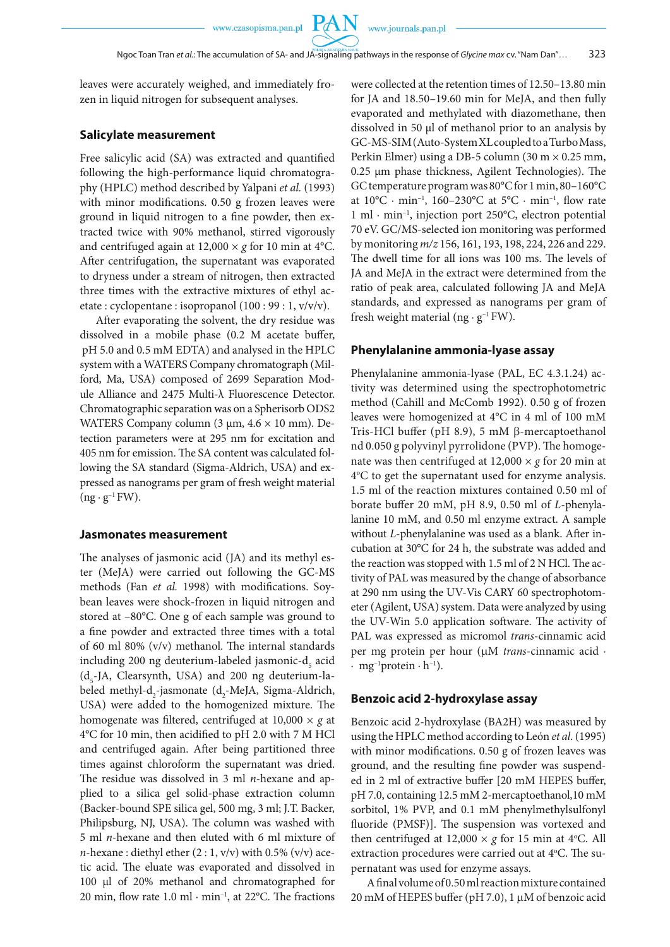**PAN** 

leaves were accurately weighed, and immediately frozen in liquid nitrogen for subsequent analyses.

#### **Salicylate measurement**

Free salicylic acid (SA) was extracted and quantified following the high-performance liquid chromatography (HPLC) method described by Yalpani *et al.* (1993) with minor modifications. 0.50 g frozen leaves were ground in liquid nitrogen to a fine powder, then extracted twice with 90% methanol, stirred vigorously and centrifuged again at  $12,000 \times g$  for 10 min at 4<sup>o</sup>C. After centrifugation, the supernatant was evaporated to dryness under a stream of nitrogen, then extracted three times with the extractive mixtures of ethyl acetate : cyclopentane : isopropanol (100 : 99 : 1, v/v/v).

After evaporating the solvent, the dry residue was dissolved in a mobile phase (0.2 M acetate buffer, pH 5.0 and 0.5 mM EDTA) and analysed in the HPLC system with a WATERS Company chromatograph (Milford, Ma, USA) composed of 2699 Separation Module Alliance and 2475 Multi-λ Fluorescence Detector. Chromatographic separation was on a Spherisorb ODS2 WATERS Company column (3 μm, 4.6 × 10 mm). Detection parameters were at 295 nm for excitation and 405 nm for emission. The SA content was calculated following the SA standard (Sigma-Aldrich, USA) and expressed as nanograms per gram of fresh weight material  $(ng \cdot g^{-1}FW)$ .

#### **Jasmonates measurement**

The analyses of jasmonic acid (JA) and its methyl ester (MeJA) were carried out following the GC-MS methods (Fan *et al.* 1998) with modifications. Soybean leaves were shock-frozen in liquid nitrogen and stored at –80°C. One g of each sample was ground to a fine powder and extracted three times with a total of 60 ml 80% (v/v) methanol. The internal standards including 200 ng deuterium-labeled jasmonic-d<sub>5</sub> acid  $(d<sub>5</sub>-JA, Clearsynth, USA)$  and 200 ng deuterium-labeled methyl-d<sub>2</sub>-jasmonate (d<sub>2</sub>-MeJA, Sigma-Aldrich, USA) were added to the homogenized mixture. The homogenate was filtered, centrifuged at 10,000 × *g* at 4°C for 10 min, then acidified to pH 2.0 with 7 M HCl and centrifuged again. After being partitioned three times against chloroform the supernatant was dried. The residue was dissolved in 3 ml *n*-hexane and applied to a silica gel solid-phase extraction column (Backer-bound SPE silica gel, 500 mg, 3 ml; J.T. Backer, Philipsburg, NJ, USA). The column was washed with 5 ml *n*-hexane and then eluted with 6 ml mixture of *n*-hexane : diethyl ether  $(2:1, v/v)$  with 0.5%  $(v/v)$  acetic acid. The eluate was evaporated and dissolved in 100 µl of 20% methanol and chromatographed for 20 min, flow rate  $1.0 \text{ ml} \cdot \text{min}^{-1}$ , at 22 $^{\circ}$ C. The fractions were collected at the retention times of 12.50–13.80 min for JA and 18.50–19.60 min for MeJA, and then fully evaporated and methylated with diazomethane, then dissolved in 50 µl of methanol prior to an analysis by GC-MS-SIM (Auto-System XL coupled to a Turbo Mass, Perkin Elmer) using a DB-5 column  $(30 \text{ m} \times 0.25 \text{ mm})$ , 0.25 µm phase thickness, Agilent Technologies). The GC temperature program was 80°C for 1 min, 80–160°C at  $10^{\circ}$ C · min<sup>-1</sup>,  $160-230^{\circ}$ C at  $5^{\circ}$ C · min<sup>-1</sup>, flow rate 1 ml · min–1, injection port 250°C, electron potential 70 eV. GC/MS-selected ion monitoring was performed by monitoring *m/z* 156, 161, 193, 198, 224, 226 and 229. The dwell time for all ions was 100 ms. The levels of JA and MeJA in the extract were determined from the ratio of peak area, calculated following JA and MeJA standards, and expressed as nanograms per gram of fresh weight material (ng  $\cdot$  g<sup>-1</sup> FW).

#### **Phenylalanine ammonia-lyase assay**

Phenylalanine ammonia-lyase (PAL, EC 4.3.1.24) activity was determined using the spectrophotometric method (Cahill and McComb 1992). 0.50 g of frozen leaves were homogenized at 4°C in 4 ml of 100 mM Tris-HCl buffer (pH 8.9), 5 mM β-mercaptoethanol nd 0.050 g polyvinyl pyrrolidone (PVP). The homogenate was then centrifuged at  $12,000 \times g$  for 20 min at 4°C to get the supernatant used for enzyme analysis. 1.5 ml of the reaction mixtures contained 0.50 ml of borate buffer 20 mM, pH 8.9, 0.50 ml of *L*-phenylalanine 10 mM, and 0.50 ml enzyme extract. A sample without *L*-phenylalanine was used as a blank. After incubation at 30°C for 24 h, the substrate was added and the reaction was stopped with 1.5 ml of 2 N HCl. The activity of PAL was measured by the change of absorbance at 290 nm using the UV-Vis CARY 60 spectrophotometer (Agilent, USA) system. Data were analyzed by using the UV-Win 5.0 application software. The activity of PAL was expressed as micromol *trans*-cinnamic acid per mg protein per hour (µM *trans*-cinnamic acid ·  $\cdot$  mg<sup>-1</sup>protein  $\cdot$  h<sup>-1</sup>).

#### **Benzoic acid 2-hydroxylase assay**

Benzoic acid 2-hydroxylase (BA2H) was measured by using the HPLC method according to León *et al.* (1995) with minor modifications. 0.50 g of frozen leaves was ground, and the resulting fine powder was suspended in 2 ml of extractive buffer [20 mM HEPES buffer, pH 7.0, containing 12.5 mM 2-mercaptoethanol,10 mM sorbitol, 1% PVP, and 0.1 mM phenylmethylsulfonyl fluoride (PMSF)]. The suspension was vortexed and then centrifuged at  $12,000 \times g$  for 15 min at 4°C. All extraction procedures were carried out at 4°C. The supernatant was used for enzyme assays.

A final volume of 0.50 ml reaction mixture contained 20 mM of HEPES buffer (pH 7.0), 1 µM of benzoic acid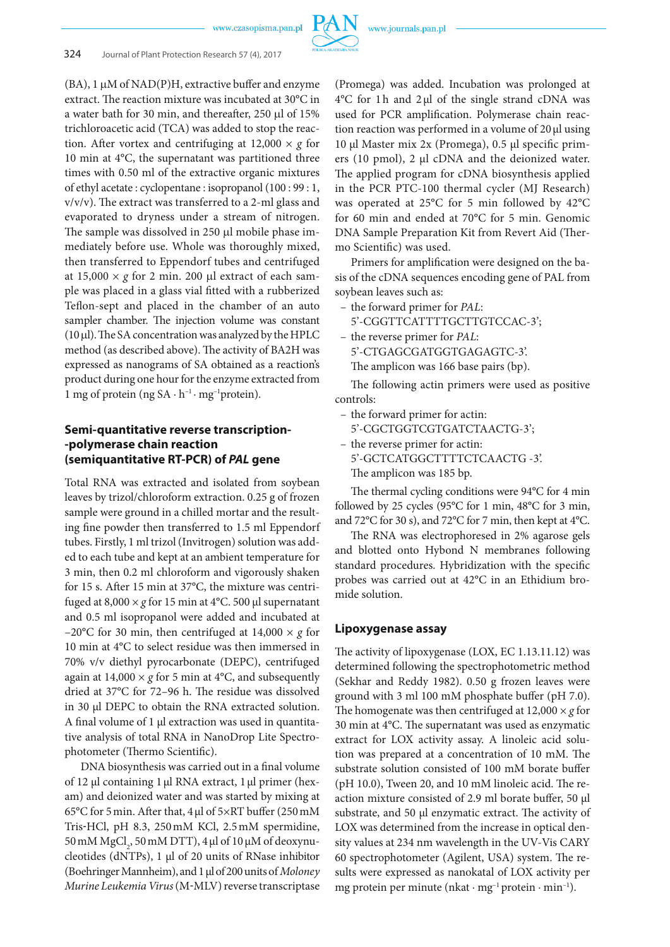

#### 324 Journal of Plant Protection Research 57 (4), 2017

 $(BA)$ , 1  $\mu$ M of NAD(P)H, extractive buffer and enzyme extract. The reaction mixture was incubated at 30°C in a water bath for 30 min, and thereafter, 250 µl of 15% trichloroacetic acid (TCA) was added to stop the reaction. After vortex and centrifuging at  $12,000 \times g$  for 10 min at 4°C, the supernatant was partitioned three times with 0.50 ml of the extractive organic mixtures of ethyl acetate : cyclopentane : isopropanol (100 : 99 : 1, v/v/v). The extract was transferred to a 2-ml glass and evaporated to dryness under a stream of nitrogen. The sample was dissolved in 250 µl mobile phase immediately before use. Whole was thoroughly mixed, then transferred to Eppendorf tubes and centrifuged at  $15,000 \times g$  for 2 min. 200 µl extract of each sample was placed in a glass vial fitted with a rubberized Teflon-sept and placed in the chamber of an auto sampler chamber. The injection volume was constant (10 µl). The SA concentration was analyzed by the HPLC method (as described above). The activity of BA2H was expressed as nanograms of SA obtained as a reaction's product during one hour for the enzyme extracted from 1 mg of protein (ng  $SA \cdot h^{-1} \cdot mg^{-1}$ protein).

## **Semi-quantitative reverse transcription- -polymerase chain reaction (semiquantitative RT-PCR) of** *PAL* **gene**

Total RNA was extracted and isolated from soybean leaves by trizol/chloroform extraction. 0.25 g of frozen sample were ground in a chilled mortar and the resulting fine powder then transferred to 1.5 ml Eppendorf tubes. Firstly, 1 ml trizol (Invitrogen) solution was added to each tube and kept at an ambient temperature for 3 min, then 0.2 ml chloroform and vigorously shaken for 15 s. After 15 min at 37°C, the mixture was centrifuged at  $8,000 \times g$  for 15 min at 4°C. 500 µl supernatant and 0.5 ml isopropanol were added and incubated at –20°C for 30 min, then centrifuged at  $14,000 \times g$  for 10 min at 4°C to select residue was then immersed in 70% v/v diethyl pyrocarbonate (DEPC), centrifuged again at  $14,000 \times g$  for 5 min at 4°C, and subsequently dried at 37°C for 72–96 h. The residue was dissolved in 30 µl DEPC to obtain the RNA extracted solution. A final volume of 1 µl extraction was used in quantitative analysis of total RNA in NanoDrop Lite Spectrophotometer (Thermo Scientific).

DNA biosynthesis was carried out in a final volume of 12 μl containing 1μl RNA extract, 1μl primer (hexam) and deionized water and was started by mixing at 65°C for 5min. After that, 4μl of 5×RT buffer (250mM Tris‐HCl, pH 8.3, 250mM KCl, 2.5mM spermidine, 50 mM MgCl<sub>2</sub>, 50 mM DTT), 4 μl of 10 μM of deoxynucleotides (dNTPs), 1 μl of 20 units of RNase inhibitor (Boehringer Mannheim), and 1 μl of 200 units of *Moloney Murine Leukemia Virus* (M‐MLV) reverse transcriptase (Promega) was added. Incubation was prolonged at 4°C for 1h and 2μl of the single strand cDNA was used for PCR amplification. Polymerase chain reaction reaction was performed in a volume of 20μl using 10 µl Master mix 2x (Promega), 0.5 µl specific primers (10 pmol), 2 µl cDNA and the deionized water. The applied program for cDNA biosynthesis applied in the PCR PTC-100 thermal cycler (MJ Research) was operated at 25°C for 5 min followed by 42°C for 60 min and ended at 70°C for 5 min. Genomic DNA Sample Preparation Kit from Revert Aid (Thermo Scientific) was used.

Primers for amplification were designed on the basis of the cDNA sequences encoding gene of PAL from soybean leaves such as:

- the forward primer for *PAL*:
	- 5'-CGGTTCATTTTGCTTGTCCAC-3';
- the reverse primer for *PAL*:
	- 5'-CTGAGCGATGGTGAGAGTC-3'.
	- The amplicon was 166 base pairs (bp).

The following actin primers were used as positive controls:

- the forward primer for actin: 5'-CGCTGGTCGTGATCTAACTG-3';
- the reverse primer for actin: 5'-GCTCATGGCTTTTCTCAACTG -3'.
	- The amplicon was 185 bp.

The thermal cycling conditions were 94°C for 4 min followed by 25 cycles (95°C for 1 min, 48°C for 3 min, and 72°C for 30 s), and 72°C for 7 min, then kept at 4°C.

The RNA was electrophoresed in 2% agarose gels and blotted onto Hybond N membranes following standard procedures. Hybridization with the specific probes was carried out at 42°C in an Ethidium bromide solution.

### **Lipoxygenase assay**

The activity of lipoxygenase (LOX, EC 1.13.11.12) was determined following the spectrophotometric method (Sekhar and Reddy 1982). 0.50 g frozen leaves were ground with 3 ml 100 mM phosphate buffer (pH 7.0). The homogenate was then centrifuged at  $12,000 \times g$  for 30 min at 4°C. The supernatant was used as enzymatic extract for LOX activity assay. A linoleic acid solution was prepared at a concentration of 10 mM. The substrate solution consisted of 100 mM borate buffer (pH 10.0), Tween 20, and 10 mM linoleic acid. The reaction mixture consisted of 2.9 ml borate buffer, 50 μl substrate, and 50 μl enzymatic extract. The activity of LOX was determined from the increase in optical density values at 234 nm wavelength in the UV-Vis CARY 60 spectrophotometer (Agilent, USA) system. The results were expressed as nanokatal of LOX activity per mg protein per minute (nkat · mg<sup>-1</sup> protein · min<sup>-1</sup>).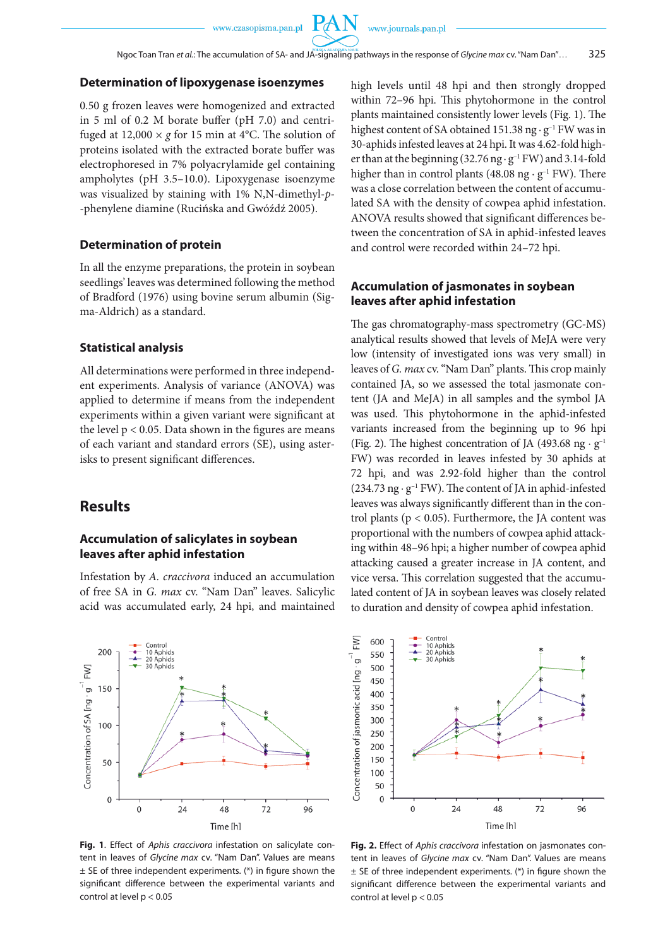$\mathrm{P}\!A$ 

#### **Determination of lipoxygenase isoenzymes**

0.50 g frozen leaves were homogenized and extracted in 5 ml of 0.2 M borate buffer (pH 7.0) and centrifuged at  $12,000 \times g$  for 15 min at 4<sup>o</sup>C. The solution of proteins isolated with the extracted borate buffer was electrophoresed in 7% polyacrylamide gel containing ampholytes (pH 3.5–10.0). Lipoxygenase isoenzyme was visualized by staining with 1% N,N-dimethyl-*p*- -phenylene diamine (Rucińska and Gwóźdź 2005).

#### **Determination of protein**

In all the enzyme preparations, the protein in soybean seedlings' leaves was determined following the method of Bradford (1976) using bovine serum albumin (Sigma-Aldrich) as a standard.

#### **Statistical analysis**

All determinations were performed in three independent experiments. Analysis of variance (ANOVA) was applied to determine if means from the independent experiments within a given variant were significant at the level  $p < 0.05$ . Data shown in the figures are means of each variant and standard errors (SE), using asterisks to present significant differences.

### **Results**

#### **Accumulation of salicylates in soybean leaves after aphid infestation**

Infestation by *A. craccivora* induced an accumulation of free SA in *G. max* cv. "Nam Dan" leaves. Salicylic acid was accumulated early, 24 hpi, and maintained



**Fig. 1**. Effect of *Aphis craccivora* infestation on salicylate content in leaves of *Glycine max* cv. "Nam Dan". Values are means  $\pm$  SE of three independent experiments. (\*) in figure shown the significant difference between the experimental variants and control at level p < 0.05

high levels until 48 hpi and then strongly dropped within 72–96 hpi. This phytohormone in the control plants maintained consistently lower levels (Fig. 1). The highest content of SA obtained 151.38 ng · g<sup>-1</sup> FW was in 30-aphids infested leaves at 24 hpi. It was 4.62-fold higher than at the beginning (32.76 ng  $\cdot$  g<sup>-1</sup> FW) and 3.14-fold higher than in control plants (48.08 ng  $\cdot$  g<sup>-1</sup> FW). There was a close correlation between the content of accumulated SA with the density of cowpea aphid infestation. ANOVA results showed that significant differences between the concentration of SA in aphid-infested leaves and control were recorded within 24–72 hpi.

#### **Accumulation of jasmonates in soybean leaves after aphid infestation**

The gas chromatography-mass spectrometry (GC-MS) analytical results showed that levels of MeJA were very low (intensity of investigated ions was very small) in leaves of *G. max* cv. "Nam Dan" plants. This crop mainly contained JA, so we assessed the total jasmonate content (JA and MeJA) in all samples and the symbol JA was used. This phytohormone in the aphid-infested variants increased from the beginning up to 96 hpi (Fig. 2). The highest concentration of JA (493.68 ng  $\cdot$  g<sup>-1</sup> FW) was recorded in leaves infested by 30 aphids at 72 hpi, and was 2.92-fold higher than the control (234.73 ng  $\cdot$  g<sup>-1</sup> FW). The content of JA in aphid-infested leaves was always significantly different than in the control plants ( $p < 0.05$ ). Furthermore, the JA content was proportional with the numbers of cowpea aphid attacking within 48–96 hpi; a higher number of cowpea aphid attacking caused a greater increase in JA content, and vice versa. This correlation suggested that the accumulated content of JA in soybean leaves was closely related to duration and density of cowpea aphid infestation.



**Fig. 2.** Effect of *Aphis craccivora* infestation on jasmonates content in leaves of *Glycine max* cv. "Nam Dan". Values are means  $\pm$  SE of three independent experiments. (\*) in figure shown the significant difference between the experimental variants and control at level p < 0.05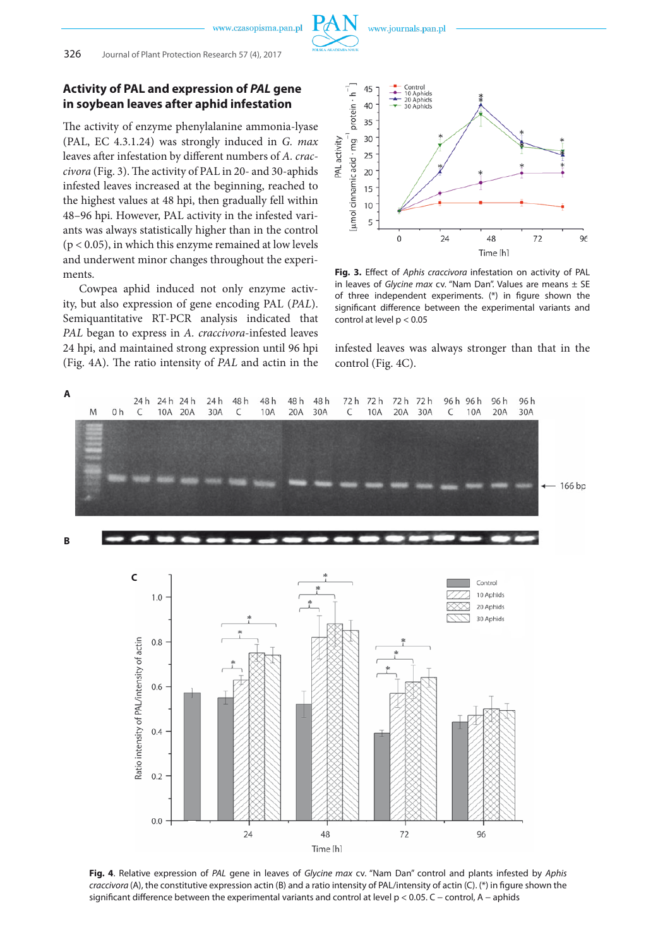

#### **Activity of PAL and expression of** *PAL* **gene in soybean leaves after aphid infestation**

The activity of enzyme phenylalanine ammonia-lyase (PAL, EC 4.3.1.24) was strongly induced in *G. max* leaves after infestation by different numbers of *A. craccivora* (Fig. 3). The activity of PAL in 20- and 30-aphids infested leaves increased at the beginning, reached to the highest values at 48 hpi, then gradually fell within 48–96 hpi. However, PAL activity in the infested variants was always statistically higher than in the control  $(p < 0.05)$ , in which this enzyme remained at low levels and underwent minor changes throughout the experiments.

Cowpea aphid induced not only enzyme activity, but also expression of gene encoding PAL (*PAL*). Semiquantitative RT-PCR analysis indicated that *PAL* began to express in *A. craccivora*-infested leaves 24 hpi, and maintained strong expression until 96 hpi (Fig. 4A). The ratio intensity of *PAL* and actin in the



**Fig. 3.** Effect of *Aphis craccivora* infestation on activity of PAL in leaves of *Glycine max* cv. "Nam Dan". Values are means ± SE of three independent experiments. (\*) in figure shown the significant difference between the experimental variants and control at level p < 0.05

infested leaves was always stronger than that in the control (Fig. 4C).



**Fig. 4**. Relative expression of *PAL* gene in leaves of *Glycine max* cv. "Nam Dan" control and plants infested by *Aphis craccivora* (A), the constitutive expression actin (B) and a ratio intensity of PAL/intensity of actin (C). (\*) in figure shown the significant difference between the experimental variants and control at level p < 0.05. C − control, A − aphids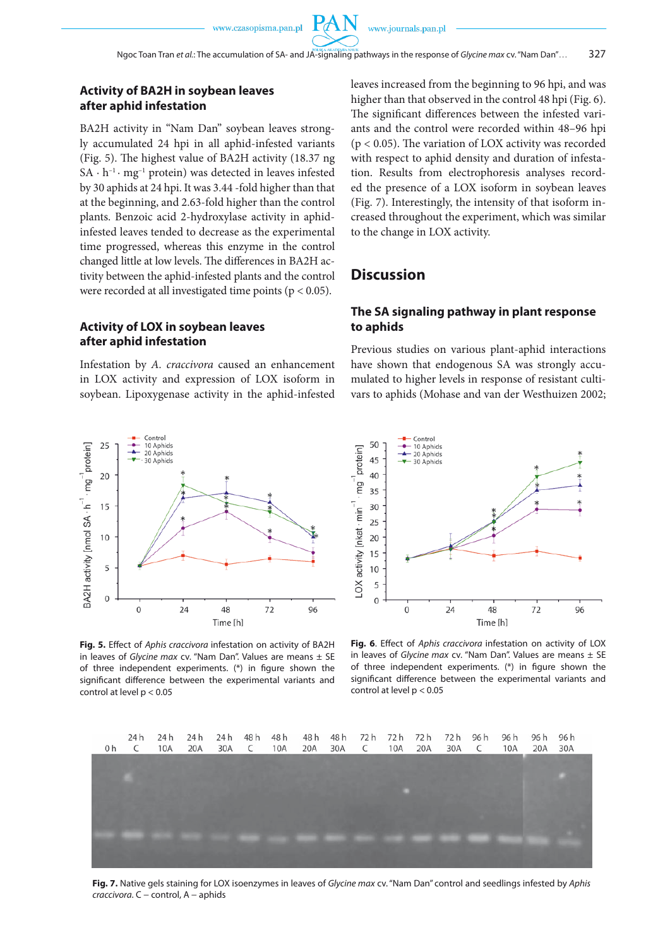#### **Activity of BA2H in soybean leaves after aphid infestation**

BA2H activity in "Nam Dan" soybean leaves strongly accumulated 24 hpi in all aphid-infested variants (Fig. 5). The highest value of BA2H activity (18.37 ng  $SA \cdot h^{-1} \cdot mg^{-1}$  protein) was detected in leaves infested by 30 aphids at 24 hpi. It was 3.44 -fold higher than that at the beginning, and 2.63-fold higher than the control plants. Benzoic acid 2-hydroxylase activity in aphidinfested leaves tended to decrease as the experimental time progressed, whereas this enzyme in the control changed little at low levels. The differences in BA2H activity between the aphid-infested plants and the control were recorded at all investigated time points (p < 0.05).

**Activity of LOX in soybean leaves after aphid infestation**

Infestation by *A. craccivora* caused an enhancement in LOX activity and expression of LOX isoform in soybean. Lipoxygenase activity in the aphid-infested leaves increased from the beginning to 96 hpi, and was higher than that observed in the control 48 hpi (Fig. 6). The significant differences between the infested variants and the control were recorded within 48–96 hpi  $(p < 0.05)$ . The variation of LOX activity was recorded with respect to aphid density and duration of infestation. Results from electrophoresis analyses recorded the presence of a LOX isoform in soybean leaves (Fig. 7). Interestingly, the intensity of that isoform increased throughout the experiment, which was similar to the change in LOX activity.

## **Discussion**

#### **The SA signaling pathway in plant response to aphids**

Previous studies on various plant-aphid interactions have shown that endogenous SA was strongly accumulated to higher levels in response of resistant cultivars to aphids (Mohase and van der Westhuizen 2002;



**Fig. 5.** Effect of *Aphis craccivora* infestation on activity of BA2H in leaves of *Glycine max* cv. "Nam Dan". Values are means ± SE of three independent experiments. (\*) in figure shown the significant difference between the experimental variants and control at level p < 0.05



**Fig. 6**. Effect of *Aphis craccivora* infestation on activity of LOX in leaves of *Glycine max* cv. "Nam Dan". Values are means ± SE of three independent experiments. (\*) in figure shown the significant difference between the experimental variants and control at level p < 0.05



**Fig. 7.** Native gels staining for LOX isoenzymes in leaves of *Glycine max* cv. "Nam Dan" control and seedlings infested by *Aphis craccivora*. C − control, A − aphids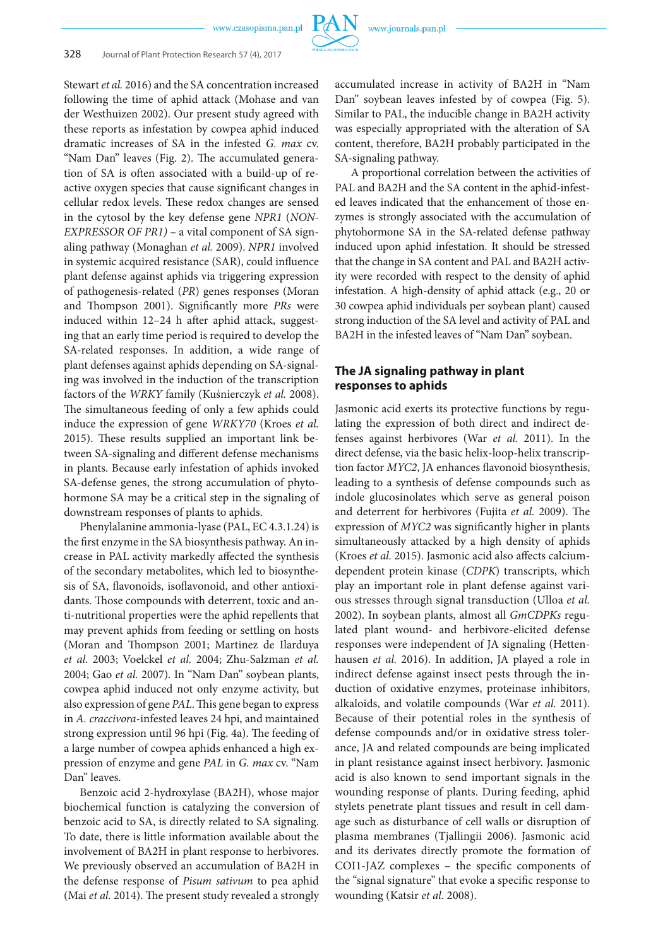

Stewart *et al.* 2016) and the SA concentration increased following the time of aphid attack (Mohase and van der Westhuizen 2002). Our present study agreed with these reports as infestation by cowpea aphid induced dramatic increases of SA in the infested *G. max* cv. "Nam Dan" leaves (Fig. 2). The accumulated generation of SA is often associated with a build-up of reactive oxygen species that cause significant changes in cellular redox levels. These redox changes are sensed in the cytosol by the key defense gene *NPR1* (*NON-EXPRESSOR OF PR1)* – a vital component of SA signaling pathway (Monaghan *et al.* 2009). *NPR1* involved in systemic acquired resistance (SAR), could influence plant defense against aphids via triggering expression of pathogenesis-related (*PR*) genes responses (Moran and Thompson 2001). Significantly more *PRs* were induced within 12–24 h after aphid attack, suggesting that an early time period is required to develop the SA-related responses. In addition, a wide range of plant defenses against aphids depending on SA-signaling was involved in the induction of the transcription factors of the *WRKY* family (Kuśnierczyk *et al.* 2008). The simultaneous feeding of only a few aphids could induce the expression of gene *WRKY70* (Kroes *et al.* 2015). These results supplied an important link between SA-signaling and different defense mechanisms in plants. Because early infestation of aphids invoked SA-defense genes, the strong accumulation of phytohormone SA may be a critical step in the signaling of downstream responses of plants to aphids.

Phenylalanine ammonia-lyase (PAL, EC 4.3.1.24) is the first enzyme in the SA biosynthesis pathway. An increase in PAL activity markedly affected the synthesis of the secondary metabolites, which led to biosynthesis of SA, flavonoids, isoflavonoid, and other antioxidants. Those compounds with deterrent, toxic and anti-nutritional properties were the aphid repellents that may prevent aphids from feeding or settling on hosts (Moran and Thompson 2001; Martinez de Ilarduya *et al.* 2003; Voelckel *et al.* 2004; Zhu-Salzman *et al.* 2004; Gao *et al.* 2007). In "Nam Dan" soybean plants, cowpea aphid induced not only enzyme activity, but also expression of gene *PAL*. This gene began to express in *A. craccivora*-infested leaves 24 hpi, and maintained strong expression until 96 hpi (Fig. 4a). The feeding of a large number of cowpea aphids enhanced a high expression of enzyme and gene *PAL* in *G. max* cv. "Nam Dan" leaves.

Benzoic acid 2-hydroxylase (BA2H), whose major biochemical function is catalyzing the conversion of benzoic acid to SA, is directly related to SA signaling. To date, there is little information available about the involvement of BA2H in plant response to herbivores. We previously observed an accumulation of BA2H in the defense response of *Pisum sativum* to pea aphid (Mai *et al.* 2014). The present study revealed a strongly

accumulated increase in activity of BA2H in "Nam Dan" soybean leaves infested by of cowpea (Fig. 5). Similar to PAL, the inducible change in BA2H activity was especially appropriated with the alteration of SA content, therefore, BA2H probably participated in the SA-signaling pathway.

A proportional correlation between the activities of PAL and BA2H and the SA content in the aphid-infested leaves indicated that the enhancement of those enzymes is strongly associated with the accumulation of phytohormone SA in the SA-related defense pathway induced upon aphid infestation. It should be stressed that the change in SA content and PAL and BA2H activity were recorded with respect to the density of aphid infestation. A high-density of aphid attack (e.g., 20 or 30 cowpea aphid individuals per soybean plant) caused strong induction of the SA level and activity of PAL and BA2H in the infested leaves of "Nam Dan" soybean.

### **The JA signaling pathway in plant responses to aphids**

Jasmonic acid exerts its protective functions by regulating the expression of both direct and indirect defenses against herbivores (War *et al.* 2011). In the direct defense, via the basic helix-loop-helix transcription factor *MYC2*, JA enhances flavonoid biosynthesis, leading to a synthesis of defense compounds such as indole glucosinolates which serve as general poison and deterrent for herbivores (Fujita *et al.* 2009). The expression of *MYC2* was significantly higher in plants simultaneously attacked by a high density of aphids (Kroes *et al.* 2015). Jasmonic acid also affects calciumdependent protein kinase (*CDPK*) transcripts, which play an important role in plant defense against various stresses through signal transduction (Ulloa *et al.* 2002). In soybean plants, almost all *GmCDPKs* regulated plant wound- and herbivore-elicited defense responses were independent of JA signaling (Hettenhausen *et al.* 2016). In addition, JA played a role in indirect defense against insect pests through the induction of oxidative enzymes, proteinase inhibitors, alkaloids, and volatile compounds (War *et al.* 2011). Because of their potential roles in the synthesis of defense compounds and/or in oxidative stress tolerance, JA and related compounds are being implicated in plant resistance against insect herbivory. Jasmonic acid is also known to send important signals in the wounding response of plants. During feeding, aphid stylets penetrate plant tissues and result in cell damage such as disturbance of cell walls or disruption of plasma membranes (Tjallingii 2006). Jasmonic acid and its derivates directly promote the formation of COI1-JAZ complexes – the specific components of the "signal signature" that evoke a specific response to wounding (Katsir *et al.* 2008).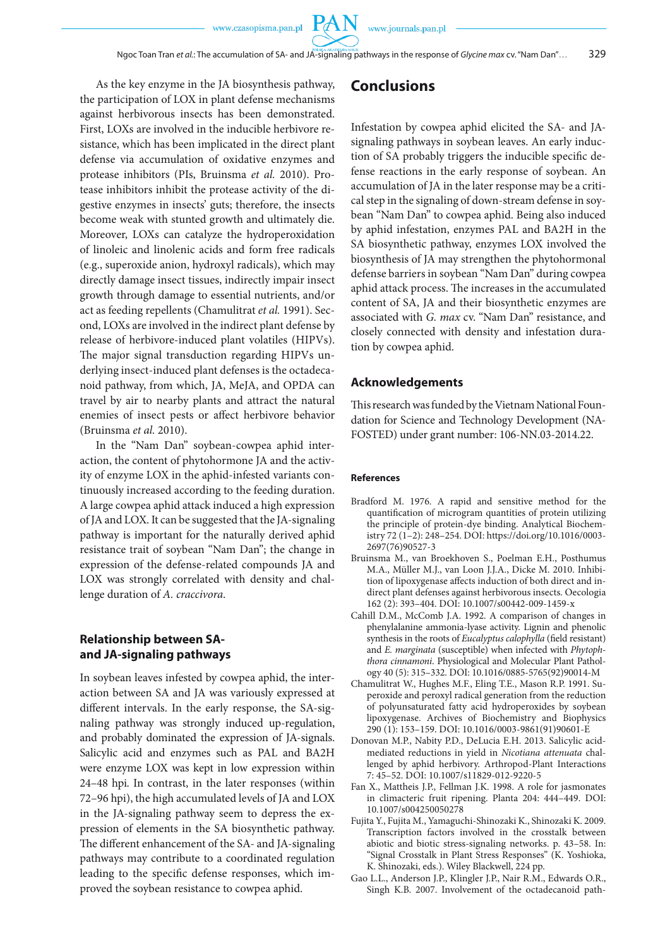**PAN** 

As the key enzyme in the JA biosynthesis pathway, the participation of LOX in plant defense mechanisms against herbivorous insects has been demonstrated. First, LOXs are involved in the inducible herbivore resistance, which has been implicated in the direct plant defense via accumulation of oxidative enzymes and protease inhibitors (PIs, Bruinsma *et al.* 2010). Protease inhibitors inhibit the protease activity of the digestive enzymes in insects' guts; therefore, the insects become weak with stunted growth and ultimately die. Moreover, LOXs can catalyze the hydroperoxidation of linoleic and linolenic acids and form free radicals (e.g., superoxide anion, hydroxyl radicals), which may directly damage insect tissues, indirectly impair insect growth through damage to essential nutrients, and/or act as feeding repellents (Chamulitrat *et al.* 1991). Second, LOXs are involved in the indirect plant defense by release of herbivore-induced plant volatiles (HIPVs). The major signal transduction regarding HIPVs underlying insect-induced plant defenses is the octadecanoid pathway, from which, JA, MeJA, and OPDA can travel by air to nearby plants and attract the natural enemies of insect pests or affect herbivore behavior (Bruinsma *et al.* 2010).

In the "Nam Dan" soybean-cowpea aphid interaction, the content of phytohormone JA and the activity of enzyme LOX in the aphid-infested variants continuously increased according to the feeding duration. A large cowpea aphid attack induced a high expression of JA and LOX. It can be suggested that the JA-signaling pathway is important for the naturally derived aphid resistance trait of soybean "Nam Dan"; the change in expression of the defense-related compounds JA and LOX was strongly correlated with density and challenge duration of *A. craccivora*.

### **Relationship between SAand JA-signaling pathways**

In soybean leaves infested by cowpea aphid, the interaction between SA and JA was variously expressed at different intervals. In the early response, the SA-signaling pathway was strongly induced up-regulation, and probably dominated the expression of JA-signals. Salicylic acid and enzymes such as PAL and BA2H were enzyme LOX was kept in low expression within 24–48 hpi. In contrast, in the later responses (within 72–96 hpi), the high accumulated levels of JA and LOX in the JA-signaling pathway seem to depress the expression of elements in the SA biosynthetic pathway. The different enhancement of the SA- and JA-signaling pathways may contribute to a coordinated regulation leading to the specific defense responses, which improved the soybean resistance to cowpea aphid.

## **Conclusions**

Infestation by cowpea aphid elicited the SA- and JAsignaling pathways in soybean leaves. An early induction of SA probably triggers the inducible specific defense reactions in the early response of soybean. An accumulation of JA in the later response may be a critical step in the signaling of down-stream defense in soybean "Nam Dan" to cowpea aphid. Being also induced by aphid infestation, enzymes PAL and BA2H in the SA biosynthetic pathway, enzymes LOX involved the biosynthesis of JA may strengthen the phytohormonal defense barriers in soybean "Nam Dan" during cowpea aphid attack process. The increases in the accumulated content of SA, JA and their biosynthetic enzymes are associated with *G. max* cv. "Nam Dan" resistance, and closely connected with density and infestation duration by cowpea aphid.

#### **Acknowledgements**

This research was funded by the Vietnam National Foundation for Science and Technology Development (NA-FOSTED) under grant number: 106-NN.03-2014.22.

#### **References**

- Bradford M. 1976. A rapid and sensitive method for the quantification of microgram quantities of protein utilizing the principle of protein-dye binding. Analytical Biochemistry 72 (1–2): 248–254. DOI: https://doi.org/10.1016/0003- 2697(76)90527-3
- Bruinsma M., van Broekhoven S., Poelman E.H., Posthumus M.A., Müller M.J., van Loon J.J.A., Dicke M. 2010. Inhibition of lipoxygenase affects induction of both direct and indirect plant defenses against herbivorous insects. Oecologia 162 (2): 393–404. DOI: 10.1007/s00442-009-1459-x
- Cahill D.M., McComb J.A. 1992. A comparison of changes in phenylalanine ammonia-lyase activity. Lignin and phenolic synthesis in the roots of *Eucalyptus calophylla* (field resistant) and *E. marginata* (susceptible) when infected with *Phytophthora cinnamoni*. Physiological and Molecular Plant Pathology 40 (5): 315–332. DOI: 10.1016/0885-5765(92)90014-M
- Chamulitrat W., Hughes M.F., Eling T.E., Mason R.P. 1991. Superoxide and peroxyl radical generation from the reduction of polyunsaturated fatty acid hydroperoxides by soybean lipoxygenase. Archives of Biochemistry and Biophysics 290 (1): 153–159. DOI: 10.1016/0003-9861(91)90601-E
- Donovan M.P., Nabity P.D., DeLucia E.H. 2013. Salicylic acidmediated reductions in yield in *Nicotiana attenuata* challenged by aphid herbivory. Arthropod-Plant Interactions 7: 45–52. DOI: 10.1007/s11829-012-9220-5
- Fan X., Mattheis J.P., Fellman J.K. 1998. A role for jasmonates in climacteric fruit ripening. Planta 204: 444–449. DOI: 10.1007/s004250050278
- Fujita Y., Fujita M., Yamaguchi-Shinozaki K., Shinozaki K. 2009. Transcription factors involved in the crosstalk between abiotic and biotic stress-signaling networks. p. 43–58. In: "Signal Crosstalk in Plant Stress Responses" (K. Yoshioka, K. Shinozaki, eds.). Wiley Blackwell, 224 pp.
- Gao L.L., Anderson J.P., Klingler J.P., Nair R.M., Edwards O.R., Singh K.B. 2007. Involvement of the octadecanoid path-